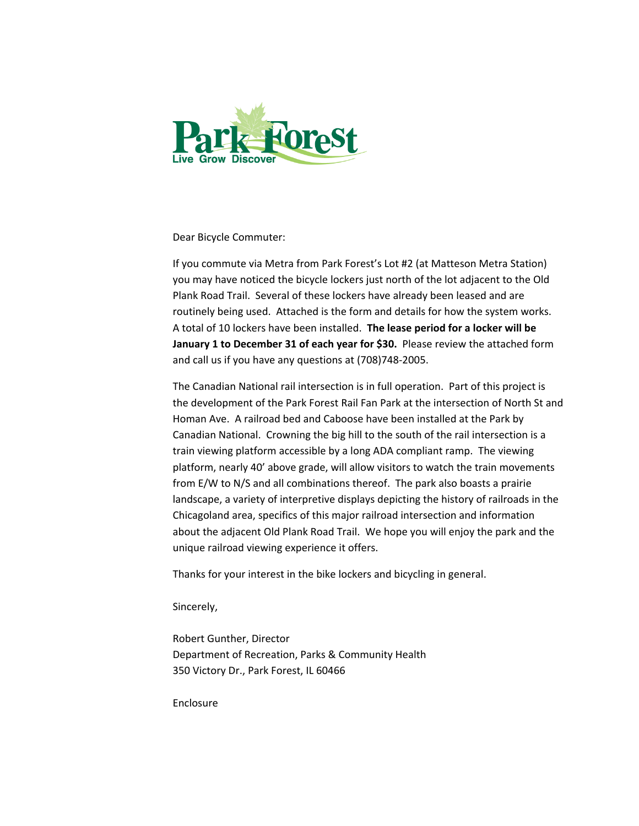

Dear Bicycle Commuter:

If you commute via Metra from Park Forest's Lot #2 (at Matteson Metra Station) you may have noticed the bicycle lockers just north of the lot adjacent to the Old Plank Road Trail. Several of these lockers have already been leased and are routinely being used. Attached is the form and details for how the system works. A total of 10 lockers have been installed. **The lease period for a locker will be January 1 to December 31 of each year for \$30.** Please review the attached form and call us if you have any questions at (708)748-2005.

The Canadian National rail intersection is in full operation. Part of this project is the development of the Park Forest Rail Fan Park at the intersection of North St and Homan Ave. A railroad bed and Caboose have been installed at the Park by Canadian National. Crowning the big hill to the south of the rail intersection is a train viewing platform accessible by a long ADA compliant ramp. The viewing platform, nearly 40' above grade, will allow visitors to watch the train movements from E/W to N/S and all combinations thereof. The park also boasts a prairie landscape, a variety of interpretive displays depicting the history of railroads in the Chicagoland area, specifics of this major railroad intersection and information about the adjacent Old Plank Road Trail. We hope you will enjoy the park and the unique railroad viewing experience it offers.

Thanks for your interest in the bike lockers and bicycling in general.

Sincerely,

Robert Gunther, Director Department of Recreation, Parks & Community Health 350 Victory Dr., Park Forest, IL 60466

Enclosure